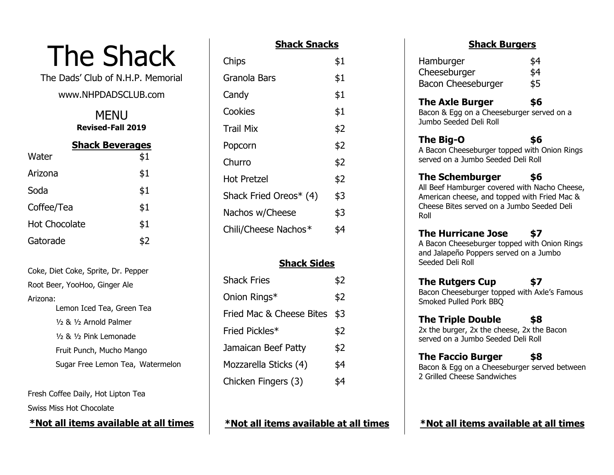# The Shack

The Dads' Club of N.H.P. Memorial

# www.NHPDADSCLUB.com

**MENU Revised-Fall 2019**

| <b>Shack Beverages</b> |     |
|------------------------|-----|
| Water                  | \$1 |
| Arizona                | \$1 |
| Soda                   | \$1 |
| Coffee/Tea             | \$1 |
| <b>Hot Chocolate</b>   | \$1 |
| Gatorade               | \$2 |

Coke, Diet Coke, Sprite, Dr. Pepper Root Beer, YooHoo, Ginger Ale Arizona: Lemon Iced Tea, Green Tea ½ & ½ Arnold Palmer ½ & ½ Pink Lemonade Fruit Punch, Mucho Mango Sugar Free Lemon Tea, Watermelon

Fresh Coffee Daily, Hot Lipton Tea Swiss Miss Hot Chocolate

**\*Not all items available at all times**

### **Shack Snacks**

| Chips                  | \$1 |
|------------------------|-----|
| Granola Bars           | \$1 |
| Candy                  | \$1 |
| Cookies                | \$1 |
| Trail Mix              | \$2 |
| Popcorn                | \$2 |
| Churro                 | \$2 |
| <b>Hot Pretzel</b>     | \$2 |
| Shack Fried Oreos* (4) | \$3 |
| Nachos w/Cheese        | \$3 |
| Chili/Cheese Nachos*   | 54  |
|                        |     |

## **Shack Sides**

| <b>Shack Fries</b>       | \$2 |
|--------------------------|-----|
| Onion Rings*             | \$2 |
| Fried Mac & Cheese Bites | \$3 |
| Fried Pickles*           | \$2 |
| Jamaican Beef Patty      | \$2 |
| Mozzarella Sticks (4)    | \$4 |
| Chicken Fingers (3)      |     |

**\*Not all items available at all times**

#### **Shack Burgers**

| Hamburger          | \$4 |
|--------------------|-----|
| Cheeseburger       | \$4 |
| Bacon Cheeseburger | \$5 |

#### **The Axle Burger \$6**

Bacon & Egg on a Cheeseburger served on a Jumbo Seeded Deli Roll

#### **The Big-O \$6** A Bacon Cheeseburger topped with Onion Rings served on a Jumbo Seeded Deli Roll

# **The Schemburger \$6**

All Beef Hamburger covered with Nacho Cheese, American cheese, and topped with Fried Mac & Cheese Bites served on a Jumbo Seeded Deli Roll

# **The Hurricane Jose \$7**

A Bacon Cheeseburger topped with Onion Rings and Jalapeño Poppers served on a Jumbo Seeded Deli Roll

## **The Rutgers Cup \$7**

Bacon Cheeseburger topped with Axle's Famous Smoked Pulled Pork BBQ

# **The Triple Double \$8**

2x the burger, 2x the cheese, 2x the Bacon served on a Jumbo Seeded Deli Roll

# **The Faccio Burger \$8**

Bacon & Egg on a Cheeseburger served between 2 Grilled Cheese Sandwiches

## **\*Not all items available at all times**